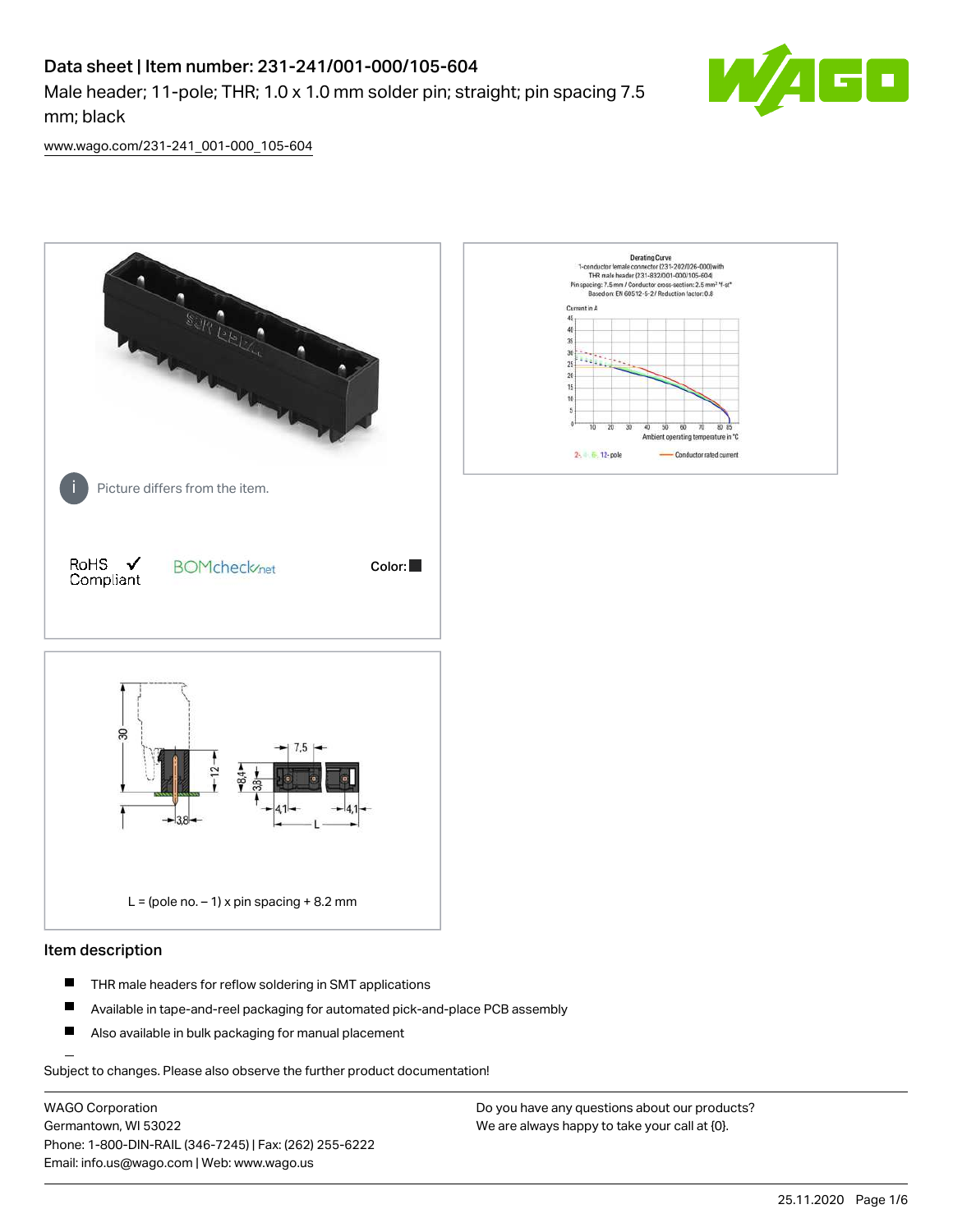# Data sheet | Item number: 231-241/001-000/105-604

Male header; 11-pole; THR; 1.0 x 1.0 mm solder pin; straight; pin spacing 7.5 mm; black



[www.wago.com/231-241\\_001-000\\_105-604](http://www.wago.com/231-241_001-000_105-604)



#### Item description

- $\blacksquare$ THR male headers for reflow soldering in SMT applications
- $\blacksquare$ Available in tape-and-reel packaging for automated pick-and-place PCB assembly
- $\blacksquare$ Also available in bulk packaging for manual placement

Subject to changes. Please also observe the further product documentation!

WAGO Corporation Germantown, WI 53022 Phone: 1-800-DIN-RAIL (346-7245) | Fax: (262) 255-6222 Email: info.us@wago.com | Web: www.wago.us

Do you have any questions about our products? We are always happy to take your call at {0}.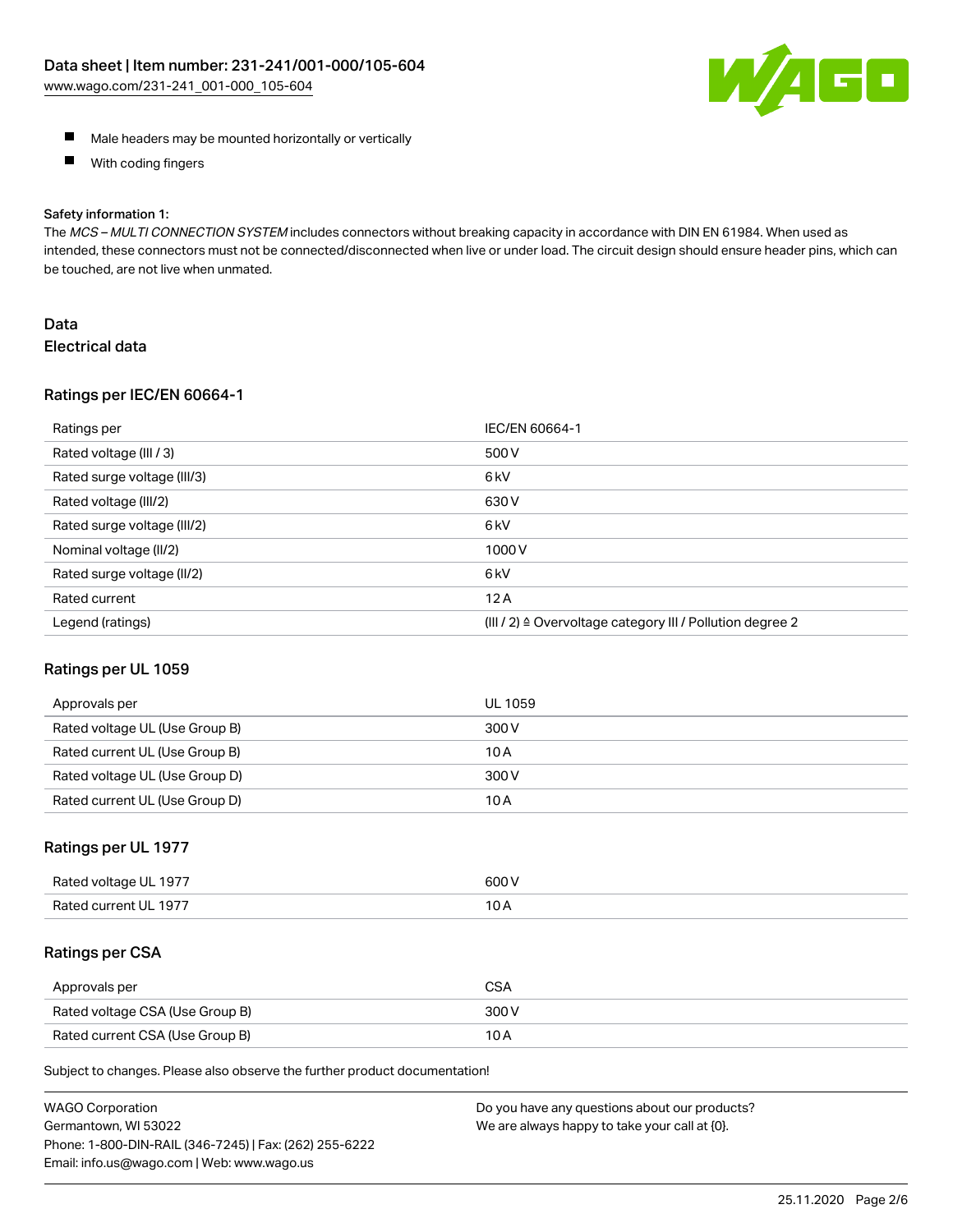

- **Male headers may be mounted horizontally or vertically**
- $\blacksquare$ With coding fingers

#### Safety information 1:

The MCS - MULTI CONNECTION SYSTEM includes connectors without breaking capacity in accordance with DIN EN 61984. When used as intended, these connectors must not be connected/disconnected when live or under load. The circuit design should ensure header pins, which can be touched, are not live when unmated.

## Data Electrical data

#### Ratings per IEC/EN 60664-1

| Ratings per                 | IEC/EN 60664-1                                                        |
|-----------------------------|-----------------------------------------------------------------------|
| Rated voltage (III / 3)     | 500 V                                                                 |
| Rated surge voltage (III/3) | 6 <sub>k</sub> V                                                      |
| Rated voltage (III/2)       | 630 V                                                                 |
| Rated surge voltage (III/2) | 6 <sub>k</sub> V                                                      |
| Nominal voltage (II/2)      | 1000V                                                                 |
| Rated surge voltage (II/2)  | 6 <sub>k</sub> V                                                      |
| Rated current               | 12A                                                                   |
| Legend (ratings)            | $(III / 2)$ $\triangle$ Overvoltage category III / Pollution degree 2 |

#### Ratings per UL 1059

| Approvals per                  | UL 1059 |
|--------------------------------|---------|
| Rated voltage UL (Use Group B) | 300 V   |
| Rated current UL (Use Group B) | 10 A    |
| Rated voltage UL (Use Group D) | 300 V   |
| Rated current UL (Use Group D) | 10 A    |

#### Ratings per UL 1977

| Rated<br>anstlov b<br>-197.<br>ווי | ANO N |
|------------------------------------|-------|
| Rater                              | 10    |
| -197                               | IVA   |
|                                    |       |

#### Ratings per CSA

| Approvals per                   | CSA   |
|---------------------------------|-------|
| Rated voltage CSA (Use Group B) | 300 V |
| Rated current CSA (Use Group B) | 10 A  |

Subject to changes. Please also observe the further product documentation!

| <b>WAGO Corporation</b>                                | Do you have any questions about our products? |
|--------------------------------------------------------|-----------------------------------------------|
| Germantown, WI 53022                                   | We are always happy to take your call at {0}. |
| Phone: 1-800-DIN-RAIL (346-7245)   Fax: (262) 255-6222 |                                               |
| Email: info.us@wago.com   Web: www.wago.us             |                                               |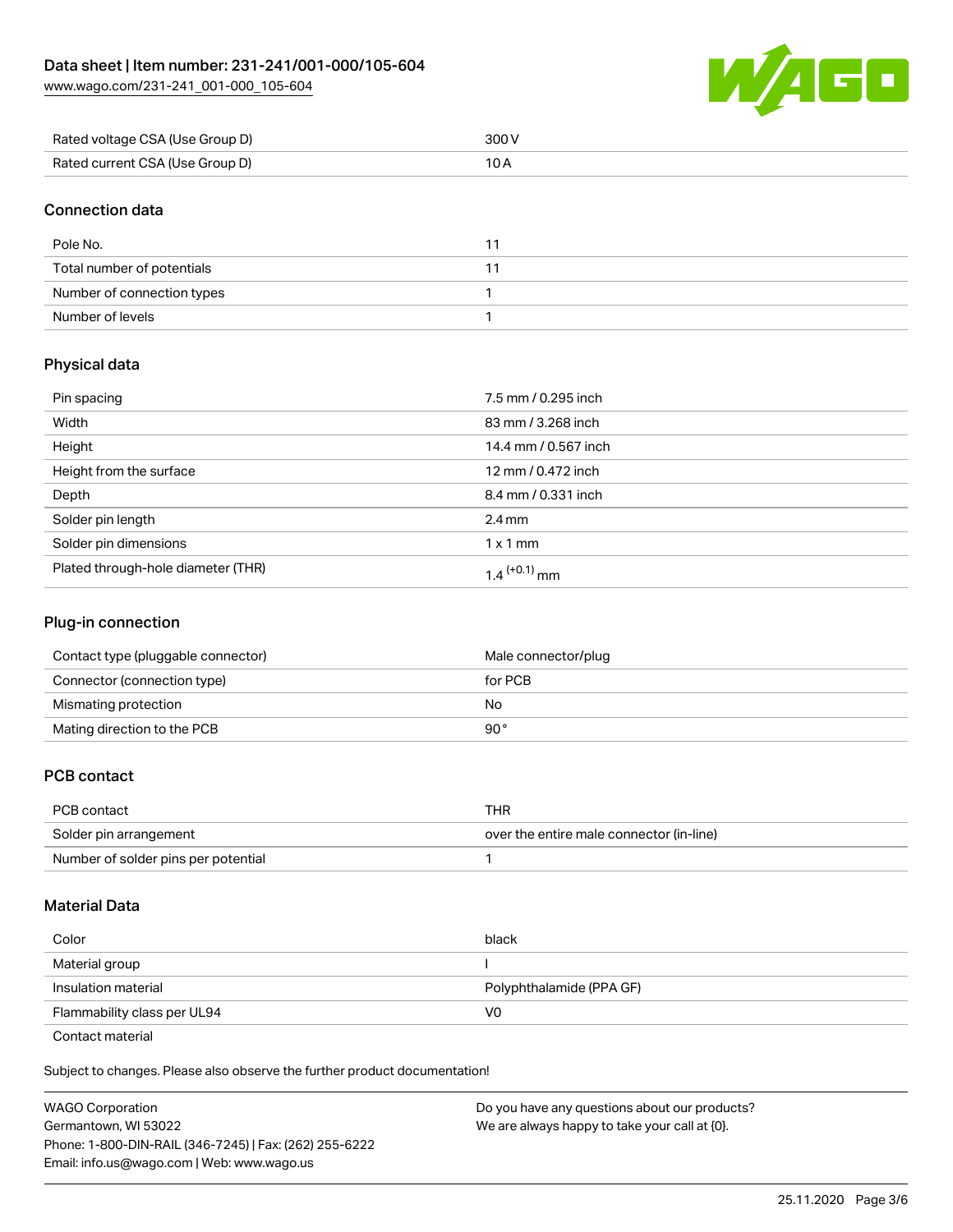[www.wago.com/231-241\\_001-000\\_105-604](http://www.wago.com/231-241_001-000_105-604)



| Rated voltage CSA (Use Group D) | 300 V |
|---------------------------------|-------|
| Rated current CSA (Use Group D) |       |

#### Connection data

| Pole No.                   |  |
|----------------------------|--|
| Total number of potentials |  |
| Number of connection types |  |
| Number of levels           |  |

# Physical data

| Pin spacing                        | 7.5 mm / 0.295 inch      |
|------------------------------------|--------------------------|
| Width                              | 83 mm / 3.268 inch       |
| Height                             | 14.4 mm / 0.567 inch     |
| Height from the surface            | 12 mm / 0.472 inch       |
| Depth                              | 8.4 mm / 0.331 inch      |
| Solder pin length                  | $2.4 \text{ mm}$         |
| Solder pin dimensions              | $1 \times 1$ mm          |
| Plated through-hole diameter (THR) | 1.4 <sup>(+0.1)</sup> mm |

#### Plug-in connection

| Contact type (pluggable connector) | Male connector/plug |
|------------------------------------|---------------------|
| Connector (connection type)        | for PCB             |
| Mismating protection               | No                  |
| Mating direction to the PCB        | 90°                 |

#### PCB contact

| PCB contact                         | THR                                      |
|-------------------------------------|------------------------------------------|
| Solder pin arrangement              | over the entire male connector (in-line) |
| Number of solder pins per potential |                                          |

#### Material Data

| Color                       | black                    |
|-----------------------------|--------------------------|
| Material group              |                          |
| Insulation material         | Polyphthalamide (PPA GF) |
| Flammability class per UL94 | V0                       |

Contact material

Subject to changes. Please also observe the further product documentation!  $\mathbf{E}$ 

| <b>WAGO Corporation</b>                                | Do you have any questions about our products? |
|--------------------------------------------------------|-----------------------------------------------|
| Germantown, WI 53022                                   | We are always happy to take your call at {0}. |
| Phone: 1-800-DIN-RAIL (346-7245)   Fax: (262) 255-6222 |                                               |
| Email: info.us@wago.com   Web: www.wago.us             |                                               |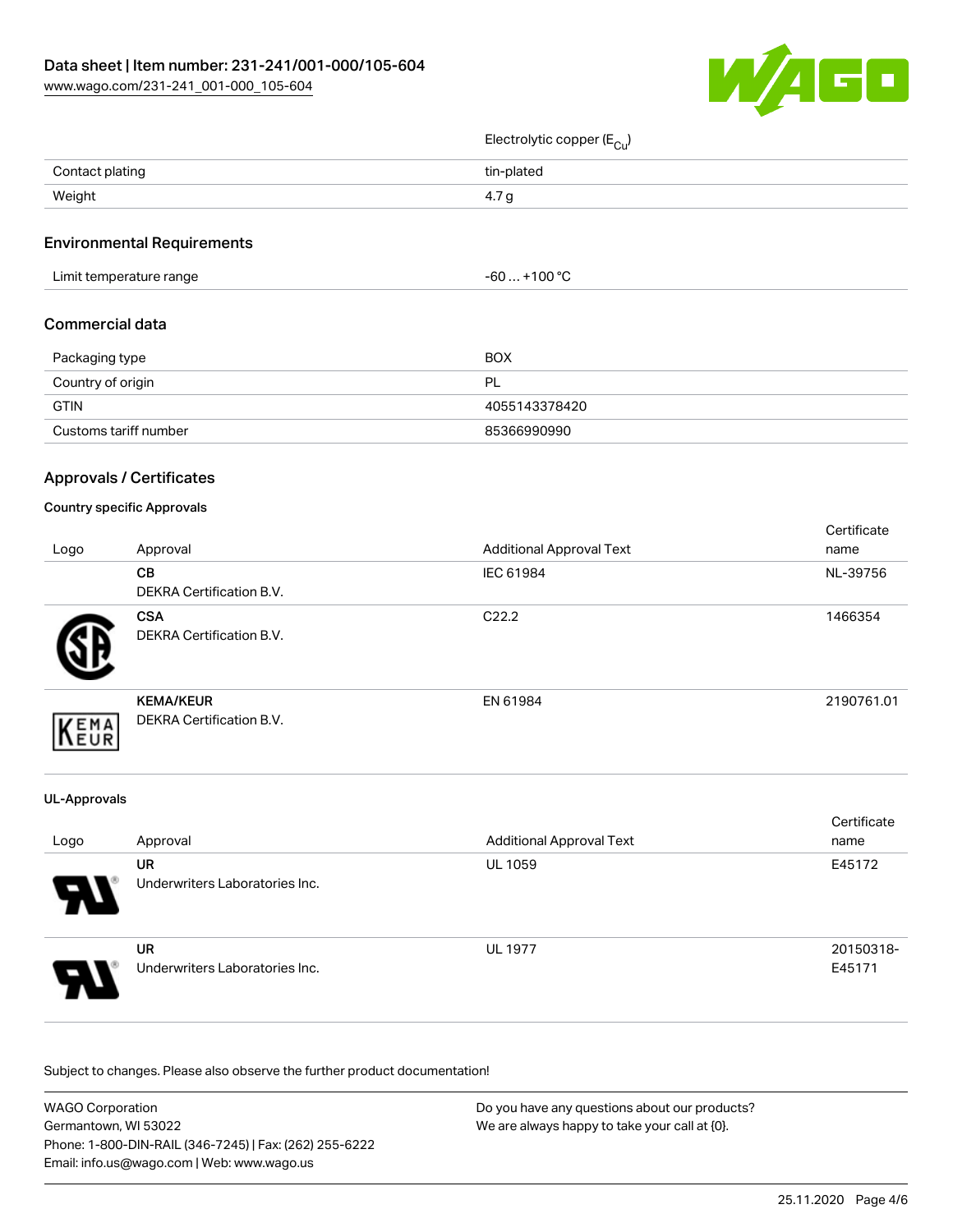[www.wago.com/231-241\\_001-000\\_105-604](http://www.wago.com/231-241_001-000_105-604)



 $E$ lectrolytic copper  $(F - )$ 

|                           |                                              | Electrolytic copper (E <sub>Cu</sub> ) |                     |
|---------------------------|----------------------------------------------|----------------------------------------|---------------------|
| Contact plating<br>Weight |                                              | tin-plated                             |                     |
|                           |                                              | 4.7g                                   |                     |
|                           | <b>Environmental Requirements</b>            |                                        |                     |
|                           | Limit temperature range                      | $-60+100$ °C                           |                     |
| <b>Commercial data</b>    |                                              |                                        |                     |
| Packaging type            |                                              | <b>BOX</b>                             |                     |
| Country of origin         |                                              | PL                                     |                     |
| <b>GTIN</b>               |                                              | 4055143378420                          |                     |
|                           | Customs tariff number                        | 85366990990                            |                     |
|                           | <b>Approvals / Certificates</b>              |                                        |                     |
|                           | <b>Country specific Approvals</b>            |                                        |                     |
| Logo                      | Approval                                     | <b>Additional Approval Text</b>        | Certificate<br>name |
|                           | CB<br>DEKRA Certification B.V.               | IEC 61984                              | NL-39756            |
|                           | <b>CSA</b><br>DEKRA Certification B.V.       | C22.2                                  | 1466354             |
| KEMA                      | <b>KEMA/KEUR</b><br>DEKRA Certification B.V. | EN 61984                               | 2190761.01          |
| <b>UL-Approvals</b>       |                                              |                                        |                     |
| Logo                      | Approval                                     | <b>Additional Approval Text</b>        | Certificate<br>name |
|                           | <b>UR</b><br>Underwriters Laboratories Inc.  | UL 1059                                | E45172              |
|                           | <b>UR</b><br>Underwriters Laboratories Inc.  | <b>UL 1977</b>                         | 20150318-<br>E45171 |

Subject to changes. Please also observe the further product documentation!

| <b>WAGO Corporation</b>                                | Do you have any questions about our products? |  |
|--------------------------------------------------------|-----------------------------------------------|--|
| Germantown, WI 53022                                   | We are always happy to take your call at {0}. |  |
| Phone: 1-800-DIN-RAIL (346-7245)   Fax: (262) 255-6222 |                                               |  |
| Email: info.us@wago.com   Web: www.wago.us             |                                               |  |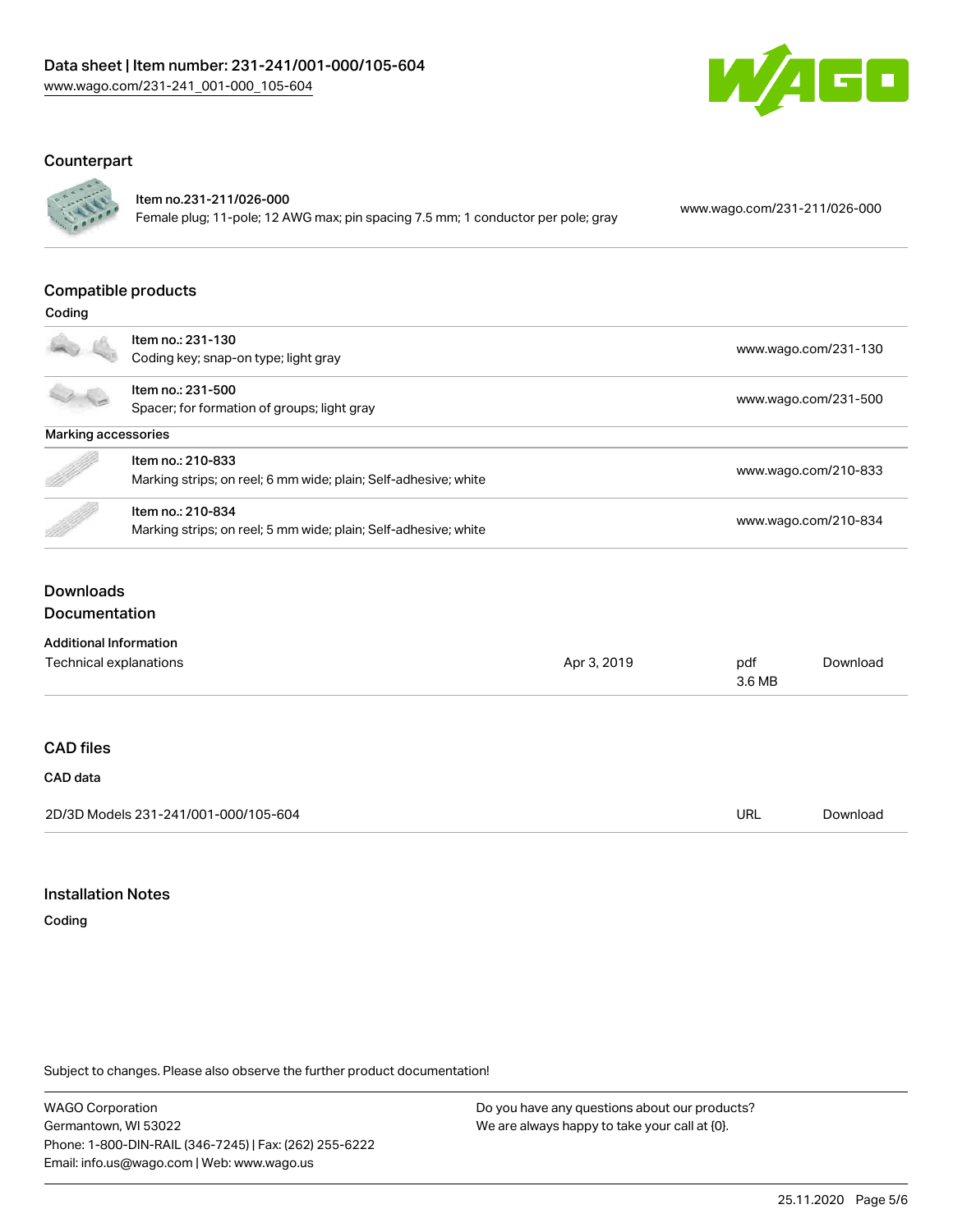

## Counterpart



# Item no.231-211/026-000

Female plug; 11-pole; 12 AWG max; pin spacing 7.5 mm; 1 conductor per pole; gray [www.wago.com/231-211/026-000](https://www.wago.com/231-211/026-000)

#### Compatible products

| Coding              |                                                                 |                      |  |
|---------------------|-----------------------------------------------------------------|----------------------|--|
|                     | Item no.: 231-130                                               |                      |  |
|                     | Coding key; snap-on type; light gray                            | www.wago.com/231-130 |  |
|                     | Item no.: 231-500                                               |                      |  |
|                     | Spacer; for formation of groups; light gray                     | www.wago.com/231-500 |  |
| Marking accessories |                                                                 |                      |  |
|                     | Item no.: 210-833                                               |                      |  |
| B                   | Marking strips; on reel; 6 mm wide; plain; Self-adhesive; white | www.wago.com/210-833 |  |
|                     | Item no.: 210-834                                               |                      |  |
|                     | Marking strips; on reel; 5 mm wide; plain; Self-adhesive; white | www.wago.com/210-834 |  |
|                     |                                                                 |                      |  |

# **Downloads**

# Documentation

| <b>Additional Information</b>        |             |               |          |  |
|--------------------------------------|-------------|---------------|----------|--|
| Technical explanations               | Apr 3, 2019 | pdf<br>3.6 MB | Download |  |
|                                      |             |               |          |  |
| <b>CAD files</b>                     |             |               |          |  |
| CAD data                             |             |               |          |  |
| 2D/3D Models 231-241/001-000/105-604 |             | URL           | Download |  |

#### Installation Notes

Coding

Subject to changes. Please also observe the further product documentation!

WAGO Corporation Germantown, WI 53022 Phone: 1-800-DIN-RAIL (346-7245) | Fax: (262) 255-6222 Email: info.us@wago.com | Web: www.wago.us

Do you have any questions about our products? We are always happy to take your call at {0}.